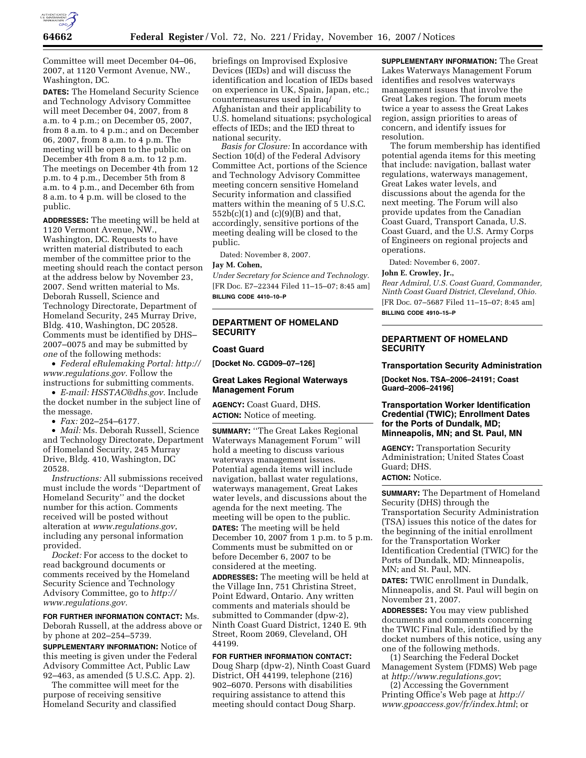

Committee will meet December 04–06, 2007, at 1120 Vermont Avenue, NW., Washington, DC.

**DATES:** The Homeland Security Science and Technology Advisory Committee will meet December 04, 2007, from 8 a.m. to 4 p.m.; on December 05, 2007, from 8 a.m. to 4 p.m.; and on December 06, 2007, from 8 a.m. to 4 p.m. The meeting will be open to the public on December 4th from 8 a.m. to 12 p.m. The meetings on December 4th from 12 p.m. to 4 p.m., December 5th from 8 a.m. to 4 p.m., and December 6th from 8 a.m. to 4 p.m. will be closed to the public.

**ADDRESSES:** The meeting will be held at 1120 Vermont Avenue, NW., Washington, DC. Requests to have written material distributed to each member of the committee prior to the meeting should reach the contact person at the address below by November 23, 2007. Send written material to Ms. Deborah Russell, Science and Technology Directorate, Department of Homeland Security, 245 Murray Drive, Bldg. 410, Washington, DC 20528. Comments must be identified by DHS– 2007–0075 and may be submitted by *one* of the following methods:

• *Federal eRulemaking Portal: http:// www.regulations.gov.* Follow the instructions for submitting comments.

• *E-mail: HSSTAC@dhs.gov.* Include the docket number in the subject line of the message.

• *Fax:* 202–254–6177.

• *Mail:* Ms. Deborah Russell, Science and Technology Directorate, Department of Homeland Security, 245 Murray Drive, Bldg. 410, Washington, DC 20528.

*Instructions:* All submissions received must include the words ''Department of Homeland Security'' and the docket number for this action. Comments received will be posted without alteration at *www.regulations.gov*, including any personal information provided.

*Docket:* For access to the docket to read background documents or comments received by the Homeland Security Science and Technology Advisory Committee, go to *http:// www.regulations.gov.* 

**FOR FURTHER INFORMATION CONTACT:** Ms. Deborah Russell, at the address above or by phone at 202–254–5739.

**SUPPLEMENTARY INFORMATION:** Notice of this meeting is given under the Federal Advisory Committee Act, Public Law 92–463, as amended (5 U.S.C. App. 2).

The committee will meet for the purpose of receiving sensitive Homeland Security and classified

briefings on Improvised Explosive Devices (IEDs) and will discuss the identification and location of IEDs based on experience in UK, Spain, Japan, etc.; countermeasures used in Iraq/ Afghanistan and their applicability to U.S. homeland situations; psychological effects of IEDs; and the IED threat to national security.

*Basis for Closure:* In accordance with Section 10(d) of the Federal Advisory Committee Act, portions of the Science and Technology Advisory Committee meeting concern sensitive Homeland Security information and classified matters within the meaning of 5 U.S.C.  $552b(c)(1)$  and  $(c)(9)(B)$  and that, accordingly, sensitive portions of the meeting dealing will be closed to the public.

Dated: November 8, 2007.

### **Jay M. Cohen,**

*Under Secretary for Science and Technology.*  [FR Doc. E7–22344 Filed 11–15–07; 8:45 am] **BILLING CODE 4410–10–P** 

## **DEPARTMENT OF HOMELAND SECURITY**

#### **Coast Guard**

**[Docket No. CGD09–07–126]** 

# **Great Lakes Regional Waterways Management Forum**

**AGENCY:** Coast Guard, DHS. **ACTION:** Notice of meeting.

**SUMMARY:** ''The Great Lakes Regional Waterways Management Forum'' will hold a meeting to discuss various waterways management issues. Potential agenda items will include navigation, ballast water regulations, waterways management, Great Lakes water levels, and discussions about the agenda for the next meeting. The meeting will be open to the public. **DATES:** The meeting will be held December 10, 2007 from 1 p.m. to 5 p.m. Comments must be submitted on or before December 6, 2007 to be considered at the meeting.

**ADDRESSES:** The meeting will be held at the Village Inn, 751 Christina Street, Point Edward, Ontario. Any written comments and materials should be submitted to Commander (dpw-2), Ninth Coast Guard District, 1240 E. 9th Street, Room 2069, Cleveland, OH 44199.

**FOR FURTHER INFORMATION CONTACT:**  Doug Sharp (dpw-2), Ninth Coast Guard District, OH 44199, telephone (216) 902–6070. Persons with disabilities requiring assistance to attend this meeting should contact Doug Sharp.

**SUPPLEMENTARY INFORMATION:** The Great Lakes Waterways Management Forum identifies and resolves waterways management issues that involve the Great Lakes region. The forum meets twice a year to assess the Great Lakes region, assign priorities to areas of concern, and identify issues for resolution.

The forum membership has identified potential agenda items for this meeting that include: navigation, ballast water regulations, waterways management, Great Lakes water levels, and discussions about the agenda for the next meeting. The Forum will also provide updates from the Canadian Coast Guard, Transport Canada, U.S. Coast Guard, and the U.S. Army Corps of Engineers on regional projects and operations.

Dated: November 6, 2007.

#### **John E. Crowley, Jr.,**

*Rear Admiral, U.S. Coast Guard, Commander, Ninth Coast Guard District, Cleveland, Ohio.*  [FR Doc. 07–5687 Filed 11–15–07; 8:45 am]

**BILLING CODE 4910–15–P** 

# **DEPARTMENT OF HOMELAND SECURITY**

### **Transportation Security Administration**

**[Docket Nos. TSA–2006–24191; Coast Guard–2006–24196]** 

# **Transportation Worker Identification Credential (TWIC); Enrollment Dates for the Ports of Dundalk, MD; Minneapolis, MN; and St. Paul, MN**

**AGENCY:** Transportation Security Administration; United States Coast Guard; DHS. **ACTION:** Notice.

**SUMMARY:** The Department of Homeland Security (DHS) through the Transportation Security Administration (TSA) issues this notice of the dates for the beginning of the initial enrollment for the Transportation Worker Identification Credential (TWIC) for the Ports of Dundalk, MD; Minneapolis, MN; and St. Paul, MN.

**DATES:** TWIC enrollment in Dundalk, Minneapolis, and St. Paul will begin on November 21, 2007.

**ADDRESSES:** You may view published documents and comments concerning the TWIC Final Rule, identified by the docket numbers of this notice, using any one of the following methods.

(1) Searching the Federal Docket Management System (FDMS) Web page at *http://www.regulations.gov*;

(2) Accessing the Government Printing Office's Web page at *http:// www.gpoaccess.gov/fr/index.html*; or